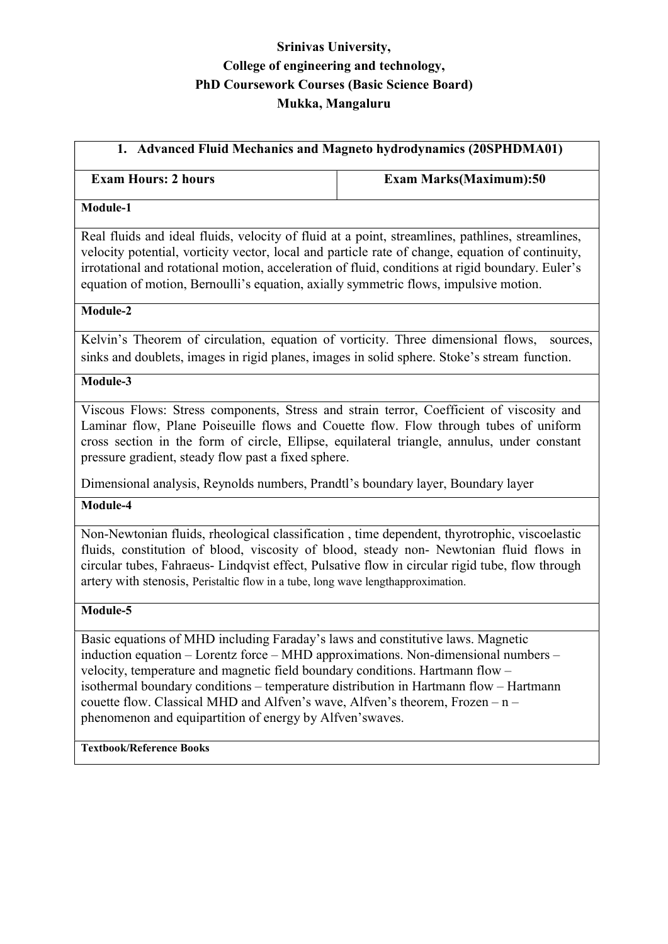## Srinivas University, College of engineering and technology, PhD Coursework Courses (Basic Science Board) Mukka, Mangaluru

# 1. Advanced Fluid Mechanics and Magneto hydrodynamics (20SPHDMA01)

#### Exam Hours: 2 hours Exam Marks(Maximum): 50

#### Module-1

Real fluids and ideal fluids, velocity of fluid at a point, streamlines, pathlines, streamlines, velocity potential, vorticity vector, local and particle rate of change, equation of continuity, irrotational and rotational motion, acceleration of fluid, conditions at rigid boundary. Euler's equation of motion, Bernoulli's equation, axially symmetric flows, impulsive motion.

#### Module-2

Kelvin's Theorem of circulation, equation of vorticity. Three dimensional flows, sources, sinks and doublets, images in rigid planes, images in solid sphere. Stoke's stream function.

#### Module-3

Viscous Flows: Stress components, Stress and strain terror, Coefficient of viscosity and Laminar flow, Plane Poiseuille flows and Couette flow. Flow through tubes of uniform cross section in the form of circle, Ellipse, equilateral triangle, annulus, under constant pressure gradient, steady flow past a fixed sphere.

Dimensional analysis, Reynolds numbers, Prandtl's boundary layer, Boundary layer

#### Module-4

Non-Newtonian fluids, rheological classification , time dependent, thyrotrophic, viscoelastic fluids, constitution of blood, viscosity of blood, steady non- Newtonian fluid flows in circular tubes, Fahraeus- Lindqvist effect, Pulsative flow in circular rigid tube, flow through artery with stenosis, Peristaltic flow in a tube, long wave lengthapproximation.

#### Module-5

Basic equations of MHD including Faraday's laws and constitutive laws. Magnetic induction equation – Lorentz force – MHD approximations. Non-dimensional numbers – velocity, temperature and magnetic field boundary conditions. Hartmann flow – isothermal boundary conditions – temperature distribution in Hartmann flow – Hartmann couette flow. Classical MHD and Alfven's wave, Alfven's theorem, Frozen – n – phenomenon and equipartition of energy by Alfven'swaves.

#### Textbook/Reference Books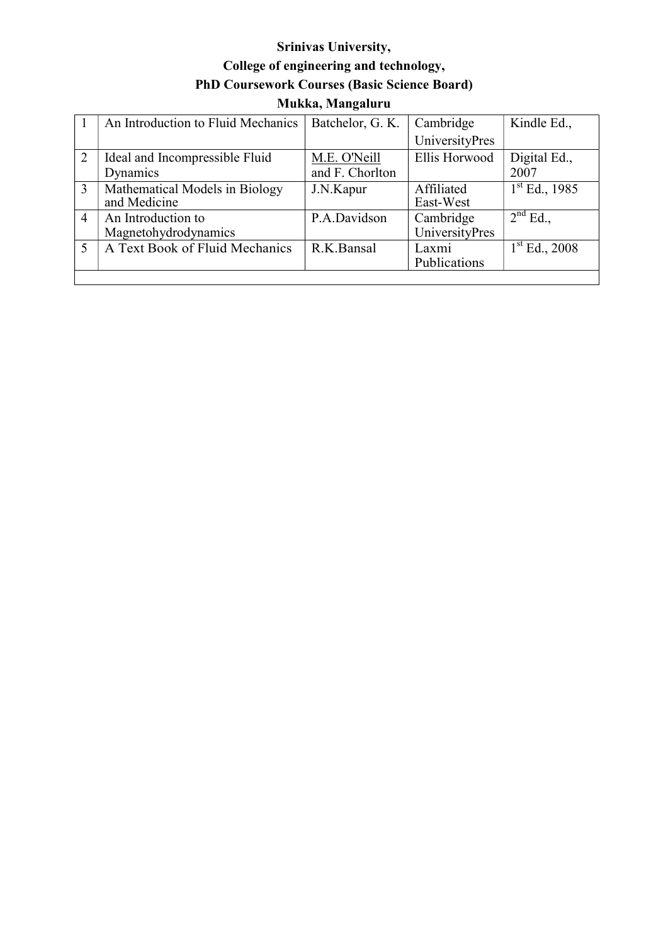# Srinivas University, College of engineering and technology, PhD Coursework Courses (Basic Science Board) Mukka, Mangaluru

|                | An Introduction to Fluid Mechanics             | Batchelor, G. K. | Cambridge                   | Kindle Ed.,                     |
|----------------|------------------------------------------------|------------------|-----------------------------|---------------------------------|
|                |                                                |                  | UniversityPres              |                                 |
| 2              | Ideal and Incompressible Fluid                 | M.E. O'Neill     | Ellis Horwood               | Digital Ed.,                    |
|                | Dynamics                                       | and F. Chorlton  |                             | 2007                            |
| $\overline{3}$ | Mathematical Models in Biology<br>and Medicine | J.N.Kapur        | Affiliated<br>East-West     | $1st$ Ed., 1985                 |
| $\overline{4}$ | An Introduction to<br>Magnetohydrodynamics     | P.A.Davidson     | Cambridge<br>UniversityPres | $\overline{2}^{\text{nd}}$ Ed., |
|                | A Text Book of Fluid Mechanics                 | R.K.Bansal       | Laxmi<br>Publications       | $1st$ Ed., 2008                 |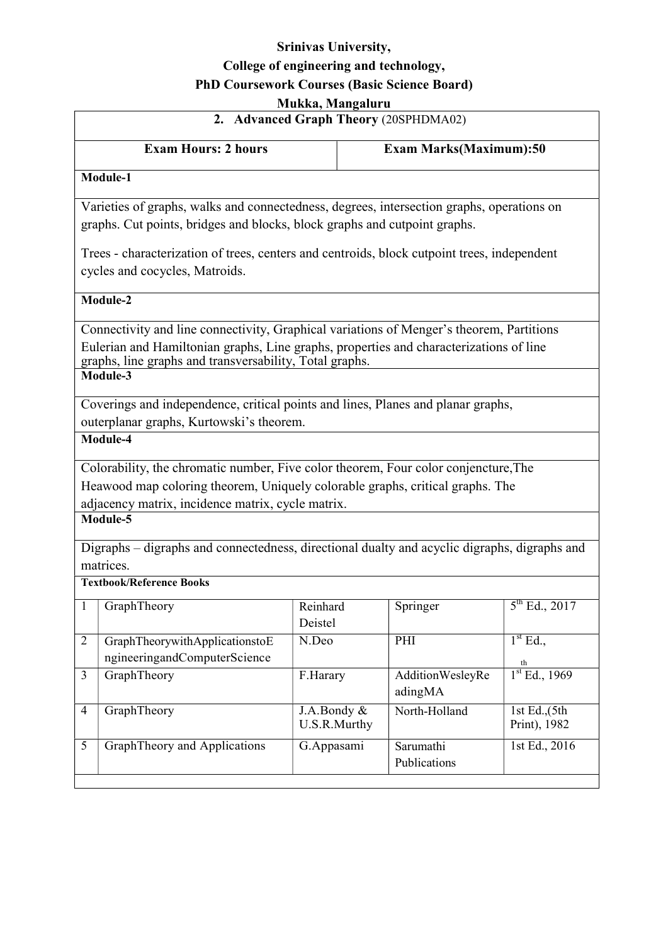## Srinivas University, College of engineering and technology, PhD Coursework Courses (Basic Science Board) Mukka, Mangaluru

|                                       |                                                                                                                                                                                                                                       | <b>MUKKA, MANGAHI U</b>     |                               |                                  |  |  |  |  |
|---------------------------------------|---------------------------------------------------------------------------------------------------------------------------------------------------------------------------------------------------------------------------------------|-----------------------------|-------------------------------|----------------------------------|--|--|--|--|
| 2. Advanced Graph Theory (20SPHDMA02) |                                                                                                                                                                                                                                       |                             |                               |                                  |  |  |  |  |
|                                       | <b>Exam Hours: 2 hours</b>                                                                                                                                                                                                            |                             | <b>Exam Marks(Maximum):50</b> |                                  |  |  |  |  |
|                                       | Module-1                                                                                                                                                                                                                              |                             |                               |                                  |  |  |  |  |
|                                       | Varieties of graphs, walks and connectedness, degrees, intersection graphs, operations on<br>graphs. Cut points, bridges and blocks, block graphs and cutpoint graphs.                                                                |                             |                               |                                  |  |  |  |  |
|                                       | Trees - characterization of trees, centers and centroids, block cutpoint trees, independent<br>cycles and cocycles, Matroids.                                                                                                         |                             |                               |                                  |  |  |  |  |
|                                       | Module-2                                                                                                                                                                                                                              |                             |                               |                                  |  |  |  |  |
|                                       | Connectivity and line connectivity, Graphical variations of Menger's theorem, Partitions                                                                                                                                              |                             |                               |                                  |  |  |  |  |
|                                       | Eulerian and Hamiltonian graphs, Line graphs, properties and characterizations of line<br>graphs, line graphs and transversability, Total graphs.                                                                                     |                             |                               |                                  |  |  |  |  |
|                                       | Module-3                                                                                                                                                                                                                              |                             |                               |                                  |  |  |  |  |
|                                       | Coverings and independence, critical points and lines, Planes and planar graphs,<br>outerplanar graphs, Kurtowski's theorem.                                                                                                          |                             |                               |                                  |  |  |  |  |
|                                       | Module-4                                                                                                                                                                                                                              |                             |                               |                                  |  |  |  |  |
|                                       | Colorability, the chromatic number, Five color theorem, Four color conjencture, The<br>Heawood map coloring theorem, Uniquely colorable graphs, critical graphs. The<br>adjacency matrix, incidence matrix, cycle matrix.<br>Module-5 |                             |                               |                                  |  |  |  |  |
|                                       | Digraphs - digraphs and connectedness, directional dualty and acyclic digraphs, digraphs and                                                                                                                                          |                             |                               |                                  |  |  |  |  |
|                                       | matrices.<br><b>Textbook/Reference Books</b>                                                                                                                                                                                          |                             |                               |                                  |  |  |  |  |
|                                       | GraphTheory                                                                                                                                                                                                                           | Reinhard<br>Deistel         | Springer                      | $5^{th}$ Ed., 2017               |  |  |  |  |
| $\overline{2}$                        | GraphTheorywithApplicationstoE<br>ngineeringandComputerScience                                                                                                                                                                        | N.Deo                       | PHI                           | 1 <sup>st</sup> Ed.,             |  |  |  |  |
| 3                                     | GraphTheory                                                                                                                                                                                                                           | F.Harary                    | AdditionWesleyRe<br>adingMA   | th<br>$1st$ Ed., 1969            |  |  |  |  |
| 4                                     | GraphTheory                                                                                                                                                                                                                           | J.A.Bondy &<br>U.S.R.Murthy | North-Holland                 | 1st Ed., $(5th)$<br>Print), 1982 |  |  |  |  |